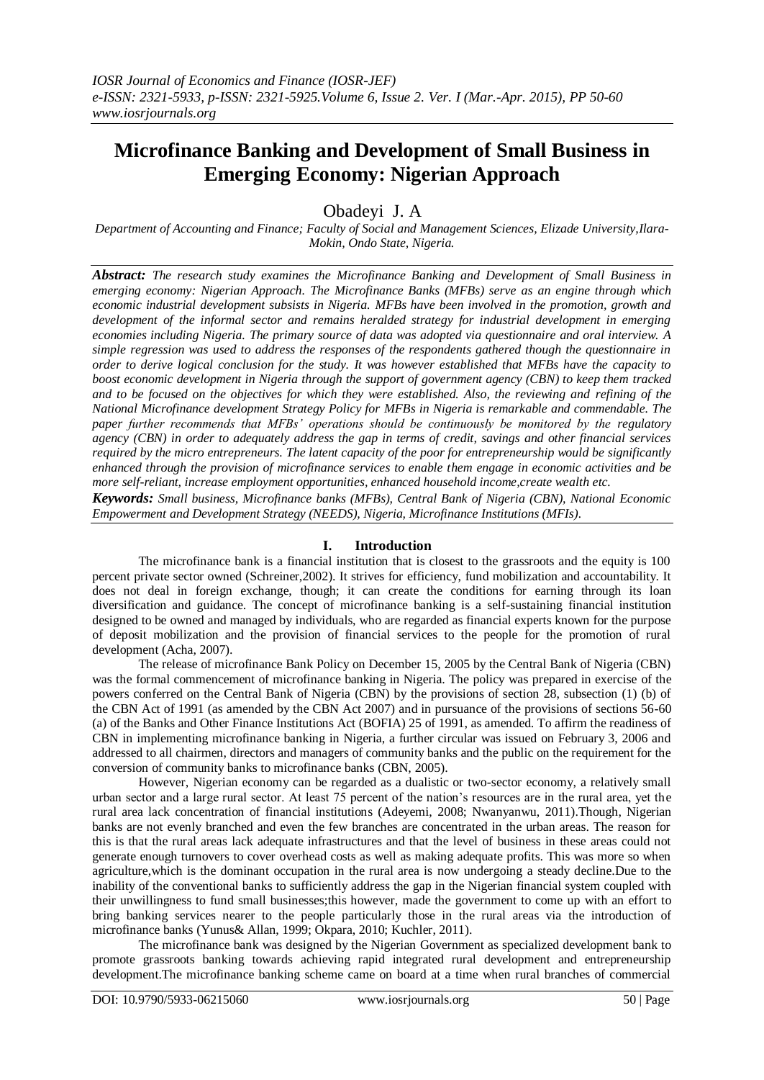# **Microfinance Banking and Development of Small Business in Emerging Economy: Nigerian Approach**

Obadeyi J. A

*Department of Accounting and Finance; Faculty of Social and Management Sciences, Elizade University,Ilara-Mokin, Ondo State, Nigeria.*

*Abstract: The research study examines the Microfinance Banking and Development of Small Business in emerging economy: Nigerian Approach. The Microfinance Banks (MFBs) serve as an engine through which economic industrial development subsists in Nigeria. MFBs have been involved in the promotion, growth and development of the informal sector and remains heralded strategy for industrial development in emerging economies including Nigeria. The primary source of data was adopted via questionnaire and oral interview. A simple regression was used to address the responses of the respondents gathered though the questionnaire in order to derive logical conclusion for the study. It was however established that MFBs have the capacity to boost economic development in Nigeria through the support of government agency (CBN) to keep them tracked and to be focused on the objectives for which they were established. Also, the reviewing and refining of the National Microfinance development Strategy Policy for MFBs in Nigeria is remarkable and commendable. The paper further recommends that MFBs' operations should be continuously be monitored by the regulatory agency (CBN) in order to adequately address the gap in terms of credit, savings and other financial services required by the micro entrepreneurs. The latent capacity of the poor for entrepreneurship would be significantly enhanced through the provision of microfinance services to enable them engage in economic activities and be more self-reliant, increase employment opportunities, enhanced household income,create wealth etc.*

*Keywords: Small business, Microfinance banks (MFBs), Central Bank of Nigeria (CBN), National Economic Empowerment and Development Strategy (NEEDS), Nigeria, Microfinance Institutions (MFIs).*

#### **I. Introduction**

The microfinance bank is a financial institution that is closest to the grassroots and the equity is 100 percent private sector owned (Schreiner,2002). It strives for efficiency, fund mobilization and accountability. It does not deal in foreign exchange, though; it can create the conditions for earning through its loan diversification and guidance. The concept of microfinance banking is a self-sustaining financial institution designed to be owned and managed by individuals, who are regarded as financial experts known for the purpose of deposit mobilization and the provision of financial services to the people for the promotion of rural development (Acha, 2007).

The release of microfinance Bank Policy on December 15, 2005 by the Central Bank of Nigeria (CBN) was the formal commencement of microfinance banking in Nigeria. The policy was prepared in exercise of the powers conferred on the Central Bank of Nigeria (CBN) by the provisions of section 28, subsection (1) (b) of the CBN Act of 1991 (as amended by the CBN Act 2007) and in pursuance of the provisions of sections 56-60 (a) of the Banks and Other Finance Institutions Act (BOFIA) 25 of 1991, as amended. To affirm the readiness of CBN in implementing microfinance banking in Nigeria, a further circular was issued on February 3, 2006 and addressed to all chairmen, directors and managers of community banks and the public on the requirement for the conversion of community banks to microfinance banks (CBN, 2005).

However, Nigerian economy can be regarded as a dualistic or two-sector economy, a relatively small urban sector and a large rural sector. At least 75 percent of the nation's resources are in the rural area, yet the rural area lack concentration of financial institutions (Adeyemi, 2008; Nwanyanwu, 2011).Though, Nigerian banks are not evenly branched and even the few branches are concentrated in the urban areas. The reason for this is that the rural areas lack adequate infrastructures and that the level of business in these areas could not generate enough turnovers to cover overhead costs as well as making adequate profits. This was more so when agriculture,which is the dominant occupation in the rural area is now undergoing a steady decline.Due to the inability of the conventional banks to sufficiently address the gap in the Nigerian financial system coupled with their unwillingness to fund small businesses;this however, made the government to come up with an effort to bring banking services nearer to the people particularly those in the rural areas via the introduction of microfinance banks (Yunus& Allan, 1999; Okpara, 2010; Kuchler, 2011).

The microfinance bank was designed by the Nigerian Government as specialized development bank to promote grassroots banking towards achieving rapid integrated rural development and entrepreneurship development.The microfinance banking scheme came on board at a time when rural branches of commercial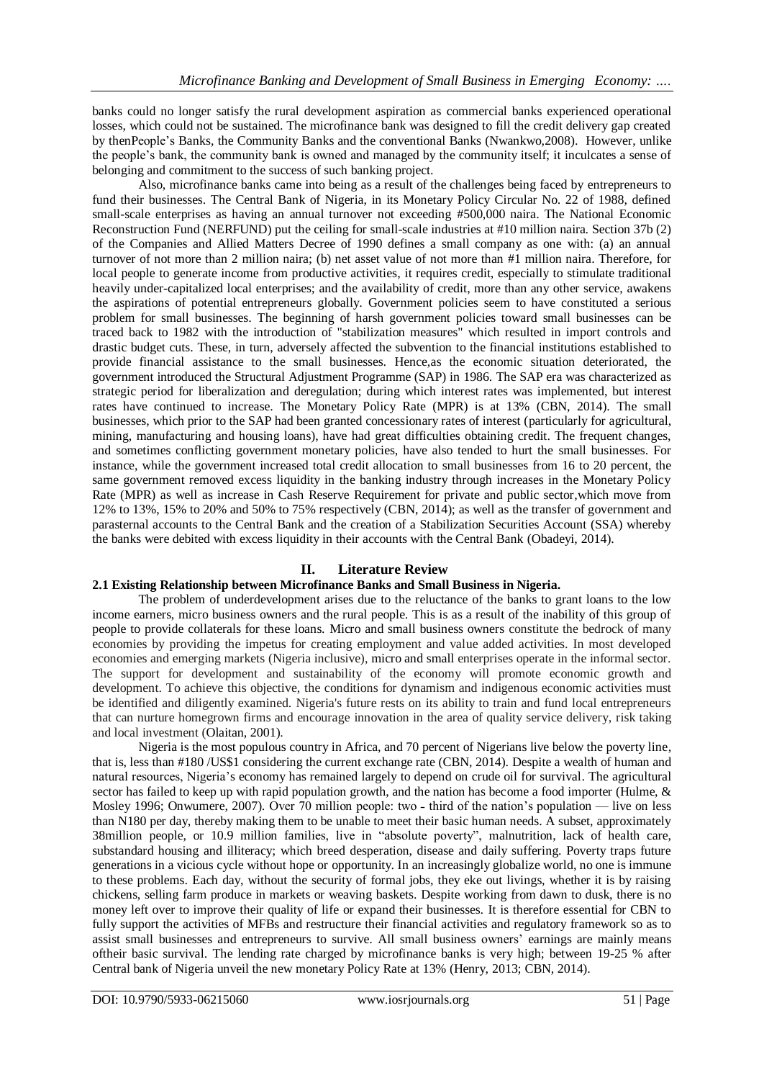banks could no longer satisfy the rural development aspiration as commercial banks experienced operational losses, which could not be sustained. The microfinance bank was designed to fill the credit delivery gap created by thenPeople's Banks, the Community Banks and the conventional Banks (Nwankwo,2008). However, unlike the people's bank, the community bank is owned and managed by the community itself; it inculcates a sense of belonging and commitment to the success of such banking project.

Also, microfinance banks came into being as a result of the challenges being faced by entrepreneurs to fund their businesses. The Central Bank of Nigeria, in its Monetary Policy Circular No. 22 of 1988, defined small-scale enterprises as having an annual turnover not exceeding #500,000 naira. The National Economic Reconstruction Fund (NERFUND) put the ceiling for small-scale industries at #10 million naira. Section 37b (2) of the Companies and Allied Matters Decree of 1990 defines a small company as one with: (a) an annual turnover of not more than 2 million naira; (b) net asset value of not more than #1 million naira. Therefore, for local people to generate income from productive activities, it requires credit, especially to stimulate traditional heavily under-capitalized local enterprises; and the availability of credit, more than any other service, awakens the aspirations of potential entrepreneurs globally. Government policies seem to have constituted a serious problem for small businesses. The beginning of harsh government policies toward small businesses can be traced back to 1982 with the introduction of "stabilization measures" which resulted in import controls and drastic budget cuts. These, in turn, adversely affected the subvention to the financial institutions established to provide financial assistance to the small businesses. Hence,as the economic situation deteriorated, the government introduced the Structural Adjustment Programme (SAP) in 1986. The SAP era was characterized as strategic period for liberalization and deregulation; during which interest rates was implemented, but interest rates have continued to increase. The Monetary Policy Rate (MPR) is at 13% (CBN, 2014). The small businesses, which prior to the SAP had been granted concessionary rates of interest (particularly for agricultural, mining, manufacturing and housing loans), have had great difficulties obtaining credit. The frequent changes, and sometimes conflicting government monetary policies, have also tended to hurt the small businesses. For instance, while the government increased total credit allocation to small businesses from 16 to 20 percent, the same government removed excess liquidity in the banking industry through increases in the Monetary Policy Rate (MPR) as well as increase in Cash Reserve Requirement for private and public sector,which move from 12% to 13%, 15% to 20% and 50% to 75% respectively (CBN, 2014); as well as the transfer of government and parasternal accounts to the Central Bank and the creation of a Stabilization Securities Account (SSA) whereby the banks were debited with excess liquidity in their accounts with the Central Bank (Obadeyi, 2014).

# **II. Literature Review**

## **2.1 Existing Relationship between Microfinance Banks and Small Business in Nigeria.**

The problem of underdevelopment arises due to the reluctance of the banks to grant loans to the low income earners, micro business owners and the rural people. This is as a result of the inability of this group of people to provide collaterals for these loans. Micro and small business owners constitute the bedrock of many economies by providing the impetus for creating employment and value added activities. In most developed economies and emerging markets (Nigeria inclusive), micro and small enterprises operate in the informal sector. The support for development and sustainability of the economy will promote economic growth and development. To achieve this objective, the conditions for dynamism and indigenous economic activities must be identified and diligently examined. Nigeria's future rests on its ability to train and fund local entrepreneurs that can nurture homegrown firms and encourage innovation in the area of quality service delivery, risk taking and local investment (Olaitan, 2001).

Nigeria is the most populous country in Africa, and 70 percent of Nigerians live below the poverty line, that is, less than #180 /US\$1 considering the current exchange rate (CBN, 2014). Despite a wealth of human and natural resources, Nigeria's economy has remained largely to depend on crude oil for survival. The agricultural sector has failed to keep up with rapid population growth, and the nation has become a food importer (Hulme, & Mosley 1996; Onwumere, 2007). Over 70 million people: two - third of the nation's population — live on less than N180 per day, thereby making them to be unable to meet their basic human needs. A subset, approximately 38million people, or 10.9 million families, live in "absolute poverty", malnutrition, lack of health care, substandard housing and illiteracy; which breed desperation, disease and daily suffering. Poverty traps future generations in a vicious cycle without hope or opportunity. In an increasingly globalize world, no one is immune to these problems. Each day, without the security of formal jobs, they eke out livings, whether it is by raising chickens, selling farm produce in markets or weaving baskets. Despite working from dawn to dusk, there is no money left over to improve their quality of life or expand their businesses. It is therefore essential for CBN to fully support the activities of MFBs and restructure their financial activities and regulatory framework so as to assist small businesses and entrepreneurs to survive. All small business owners' earnings are mainly means oftheir basic survival. The lending rate charged by microfinance banks is very high; between 19-25 % after Central bank of Nigeria unveil the new monetary Policy Rate at 13% (Henry, 2013; CBN, 2014).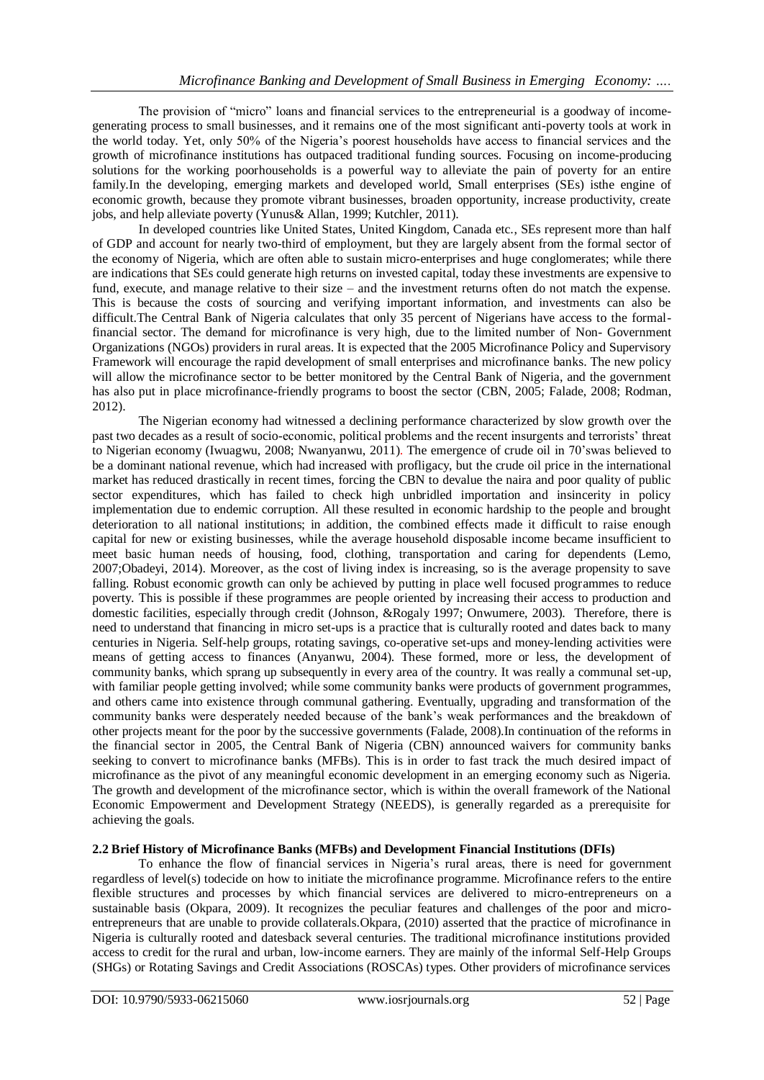The provision of "micro" loans and financial services to the entrepreneurial is a goodway of incomegenerating process to small businesses, and it remains one of the most significant anti-poverty tools at work in the world today. Yet, only 50% of the Nigeria's poorest households have access to financial services and the growth of microfinance institutions has outpaced traditional funding sources. Focusing on income-producing solutions for the working poorhouseholds is a powerful way to alleviate the pain of poverty for an entire family.In the developing, emerging markets and developed world, Small enterprises (SEs) isthe engine of economic growth, because they promote vibrant businesses, broaden opportunity, increase productivity, create jobs, and help alleviate poverty (Yunus& Allan, 1999; Kutchler, 2011).

In developed countries like United States, United Kingdom, Canada etc., SEs represent more than half of GDP and account for nearly two-third of employment, but they are largely absent from the formal sector of the economy of Nigeria, which are often able to sustain micro-enterprises and huge conglomerates; while there are indications that SEs could generate high returns on invested capital, today these investments are expensive to fund, execute, and manage relative to their size – and the investment returns often do not match the expense. This is because the costs of sourcing and verifying important information, and investments can also be difficult.The Central Bank of Nigeria calculates that only 35 percent of Nigerians have access to the formalfinancial sector. The demand for microfinance is very high, due to the limited number of Non- Government Organizations (NGOs) providers in rural areas. It is expected that the 2005 Microfinance Policy and Supervisory Framework will encourage the rapid development of small enterprises and microfinance banks. The new policy will allow the microfinance sector to be better monitored by the Central Bank of Nigeria, and the government has also put in place microfinance-friendly programs to boost the sector (CBN, 2005; Falade, 2008; Rodman, 2012).

The Nigerian economy had witnessed a declining performance characterized by slow growth over the past two decades as a result of socio-economic, political problems and the recent insurgents and terrorists' threat to Nigerian economy (Iwuagwu, 2008; Nwanyanwu, 2011). The emergence of crude oil in 70'swas believed to be a dominant national revenue, which had increased with profligacy, but the crude oil price in the international market has reduced drastically in recent times, forcing the CBN to devalue the naira and poor quality of public sector expenditures, which has failed to check high unbridled importation and insincerity in policy implementation due to endemic corruption. All these resulted in economic hardship to the people and brought deterioration to all national institutions; in addition, the combined effects made it difficult to raise enough capital for new or existing businesses, while the average household disposable income became insufficient to meet basic human needs of housing, food, clothing, transportation and caring for dependents (Lemo, 2007;Obadeyi, 2014). Moreover, as the cost of living index is increasing, so is the average propensity to save falling. Robust economic growth can only be achieved by putting in place well focused programmes to reduce poverty. This is possible if these programmes are people oriented by increasing their access to production and domestic facilities, especially through credit (Johnson, &Rogaly 1997; Onwumere, 2003). Therefore, there is need to understand that financing in micro set-ups is a practice that is culturally rooted and dates back to many centuries in Nigeria. Self-help groups, rotating savings, co-operative set-ups and money-lending activities were means of getting access to finances (Anyanwu, 2004). These formed, more or less, the development of community banks, which sprang up subsequently in every area of the country. It was really a communal set-up, with familiar people getting involved; while some community banks were products of government programmes, and others came into existence through communal gathering. Eventually, upgrading and transformation of the community banks were desperately needed because of the bank's weak performances and the breakdown of other projects meant for the poor by the successive governments (Falade, 2008).In continuation of the reforms in the financial sector in 2005, the Central Bank of Nigeria (CBN) announced waivers for community banks seeking to convert to microfinance banks (MFBs). This is in order to fast track the much desired impact of microfinance as the pivot of any meaningful economic development in an emerging economy such as Nigeria. The growth and development of the microfinance sector, which is within the overall framework of the National Economic Empowerment and Development Strategy (NEEDS), is generally regarded as a prerequisite for achieving the goals.

#### **2.2 Brief History of Microfinance Banks (MFBs) and Development Financial Institutions (DFIs)**

To enhance the flow of financial services in Nigeria's rural areas, there is need for government regardless of level(s) todecide on how to initiate the microfinance programme. Microfinance refers to the entire flexible structures and processes by which financial services are delivered to micro-entrepreneurs on a sustainable basis (Okpara, 2009). It recognizes the peculiar features and challenges of the poor and microentrepreneurs that are unable to provide collaterals.Okpara, (2010) asserted that the practice of microfinance in Nigeria is culturally rooted and datesback several centuries. The traditional microfinance institutions provided access to credit for the rural and urban, low-income earners. They are mainly of the informal Self-Help Groups (SHGs) or Rotating Savings and Credit Associations (ROSCAs) types. Other providers of microfinance services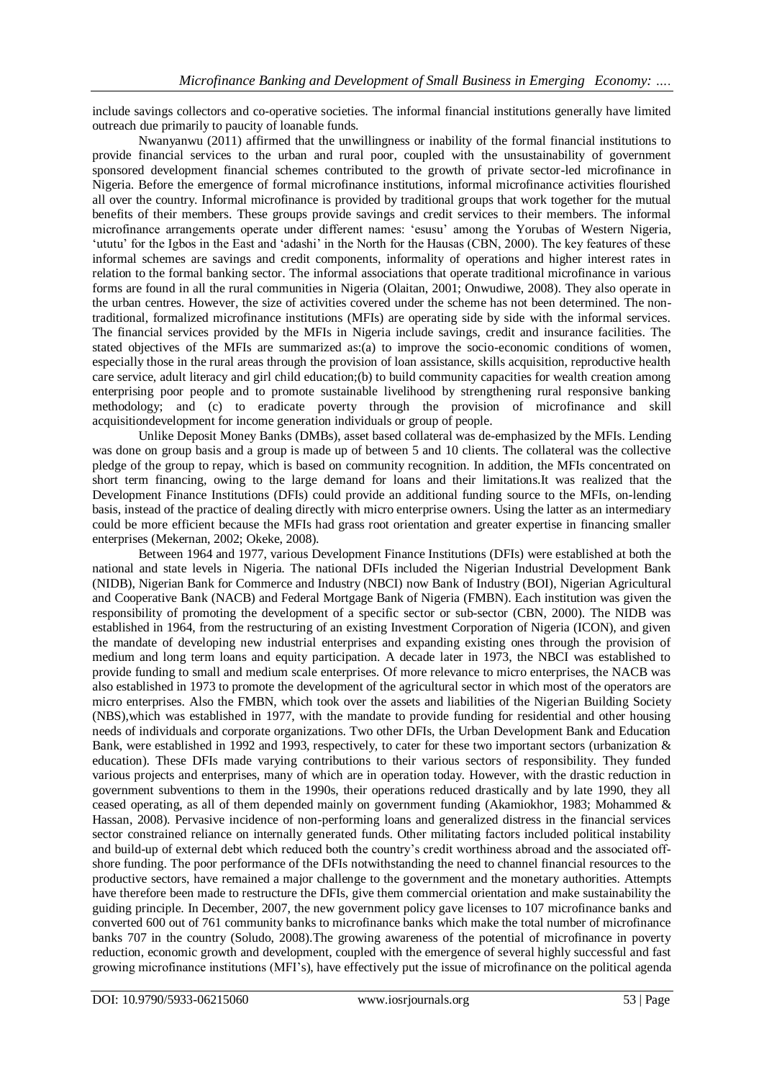include savings collectors and co-operative societies. The informal financial institutions generally have limited outreach due primarily to paucity of loanable funds.

Nwanyanwu (2011) affirmed that the unwillingness or inability of the formal financial institutions to provide financial services to the urban and rural poor, coupled with the unsustainability of government sponsored development financial schemes contributed to the growth of private sector-led microfinance in Nigeria. Before the emergence of formal microfinance institutions, informal microfinance activities flourished all over the country. Informal microfinance is provided by traditional groups that work together for the mutual benefits of their members. These groups provide savings and credit services to their members. The informal microfinance arrangements operate under different names: ‗esusu' among the Yorubas of Western Nigeria, ‗ututu' for the Igbos in the East and ‗adashi' in the North for the Hausas (CBN, 2000). The key features of these informal schemes are savings and credit components, informality of operations and higher interest rates in relation to the formal banking sector. The informal associations that operate traditional microfinance in various forms are found in all the rural communities in Nigeria (Olaitan, 2001; Onwudiwe, 2008). They also operate in the urban centres. However, the size of activities covered under the scheme has not been determined. The nontraditional, formalized microfinance institutions (MFIs) are operating side by side with the informal services. The financial services provided by the MFIs in Nigeria include savings, credit and insurance facilities. The stated objectives of the MFIs are summarized as:(a) to improve the socio-economic conditions of women, especially those in the rural areas through the provision of loan assistance, skills acquisition, reproductive health care service, adult literacy and girl child education;(b) to build community capacities for wealth creation among enterprising poor people and to promote sustainable livelihood by strengthening rural responsive banking methodology; and (c) to eradicate poverty through the provision of microfinance and skill acquisitiondevelopment for income generation individuals or group of people.

Unlike Deposit Money Banks (DMBs), asset based collateral was de-emphasized by the MFIs. Lending was done on group basis and a group is made up of between 5 and 10 clients. The collateral was the collective pledge of the group to repay, which is based on community recognition. In addition, the MFIs concentrated on short term financing, owing to the large demand for loans and their limitations.It was realized that the Development Finance Institutions (DFIs) could provide an additional funding source to the MFIs, on-lending basis, instead of the practice of dealing directly with micro enterprise owners. Using the latter as an intermediary could be more efficient because the MFIs had grass root orientation and greater expertise in financing smaller enterprises (Mekernan, 2002; Okeke, 2008).

Between 1964 and 1977, various Development Finance Institutions (DFIs) were established at both the national and state levels in Nigeria. The national DFIs included the Nigerian Industrial Development Bank (NIDB), Nigerian Bank for Commerce and Industry (NBCI) now Bank of Industry (BOI), Nigerian Agricultural and Cooperative Bank (NACB) and Federal Mortgage Bank of Nigeria (FMBN). Each institution was given the responsibility of promoting the development of a specific sector or sub-sector (CBN, 2000). The NIDB was established in 1964, from the restructuring of an existing Investment Corporation of Nigeria (ICON), and given the mandate of developing new industrial enterprises and expanding existing ones through the provision of medium and long term loans and equity participation. A decade later in 1973, the NBCI was established to provide funding to small and medium scale enterprises. Of more relevance to micro enterprises, the NACB was also established in 1973 to promote the development of the agricultural sector in which most of the operators are micro enterprises. Also the FMBN, which took over the assets and liabilities of the Nigerian Building Society (NBS),which was established in 1977, with the mandate to provide funding for residential and other housing needs of individuals and corporate organizations. Two other DFIs, the Urban Development Bank and Education Bank, were established in 1992 and 1993, respectively, to cater for these two important sectors (urbanization  $\&$ education). These DFIs made varying contributions to their various sectors of responsibility. They funded various projects and enterprises, many of which are in operation today. However, with the drastic reduction in government subventions to them in the 1990s, their operations reduced drastically and by late 1990, they all ceased operating, as all of them depended mainly on government funding (Akamiokhor, 1983; Mohammed & Hassan, 2008). Pervasive incidence of non-performing loans and generalized distress in the financial services sector constrained reliance on internally generated funds. Other militating factors included political instability and build-up of external debt which reduced both the country's credit worthiness abroad and the associated offshore funding. The poor performance of the DFIs notwithstanding the need to channel financial resources to the productive sectors, have remained a major challenge to the government and the monetary authorities. Attempts have therefore been made to restructure the DFIs, give them commercial orientation and make sustainability the guiding principle. In December, 2007, the new government policy gave licenses to 107 microfinance banks and converted 600 out of 761 community banks to microfinance banks which make the total number of microfinance banks 707 in the country (Soludo, 2008).The growing awareness of the potential of microfinance in poverty reduction, economic growth and development, coupled with the emergence of several highly successful and fast growing microfinance institutions (MFI's), have effectively put the issue of microfinance on the political agenda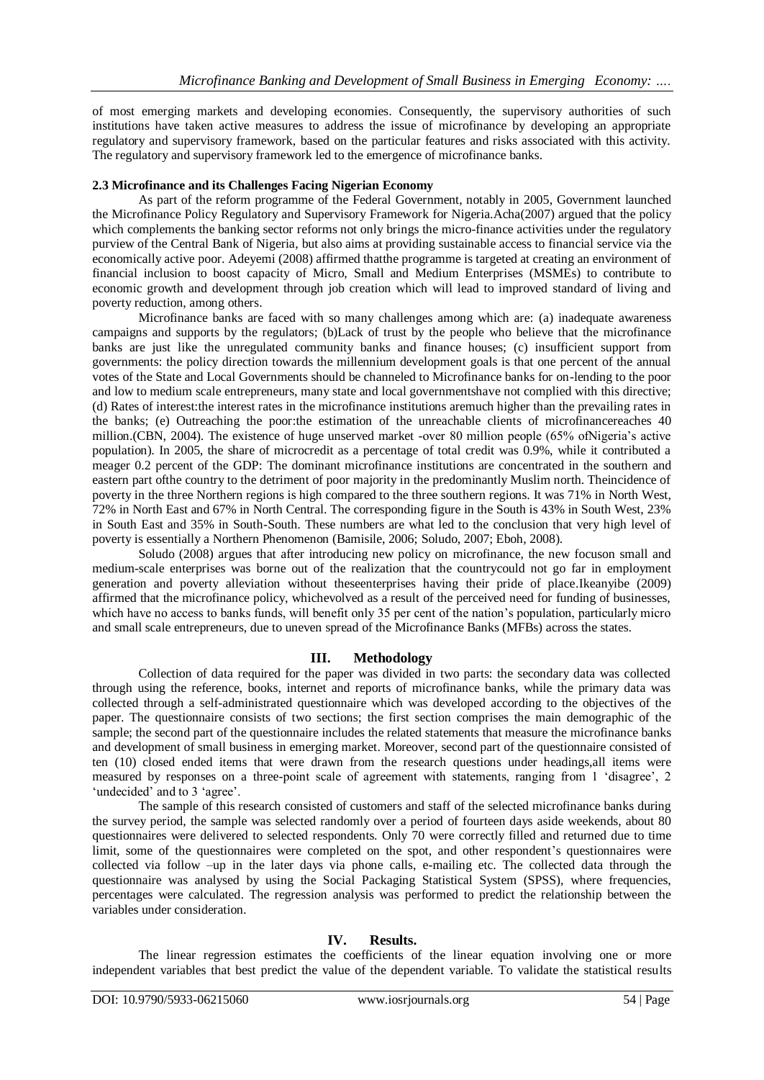of most emerging markets and developing economies. Consequently, the supervisory authorities of such institutions have taken active measures to address the issue of microfinance by developing an appropriate regulatory and supervisory framework, based on the particular features and risks associated with this activity. The regulatory and supervisory framework led to the emergence of microfinance banks.

#### **2.3 Microfinance and its Challenges Facing Nigerian Economy**

As part of the reform programme of the Federal Government, notably in 2005, Government launched the Microfinance Policy Regulatory and Supervisory Framework for Nigeria.Acha(2007) argued that the policy which complements the banking sector reforms not only brings the micro-finance activities under the regulatory purview of the Central Bank of Nigeria, but also aims at providing sustainable access to financial service via the economically active poor. Adeyemi (2008) affirmed thatthe programme is targeted at creating an environment of financial inclusion to boost capacity of Micro, Small and Medium Enterprises (MSMEs) to contribute to economic growth and development through job creation which will lead to improved standard of living and poverty reduction, among others.

Microfinance banks are faced with so many challenges among which are: (a) inadequate awareness campaigns and supports by the regulators; (b)Lack of trust by the people who believe that the microfinance banks are just like the unregulated community banks and finance houses; (c) insufficient support from governments: the policy direction towards the millennium development goals is that one percent of the annual votes of the State and Local Governments should be channeled to Microfinance banks for on-lending to the poor and low to medium scale entrepreneurs, many state and local governmentshave not complied with this directive; (d) Rates of interest:the interest rates in the microfinance institutions aremuch higher than the prevailing rates in the banks; (e) Outreaching the poor:the estimation of the unreachable clients of microfinancereaches 40 million.(CBN, 2004). The existence of huge unserved market -over 80 million people (65% ofNigeria's active population). In 2005, the share of microcredit as a percentage of total credit was 0.9%, while it contributed a meager 0.2 percent of the GDP: The dominant microfinance institutions are concentrated in the southern and eastern part ofthe country to the detriment of poor majority in the predominantly Muslim north. Theincidence of poverty in the three Northern regions is high compared to the three southern regions. It was 71% in North West, 72% in North East and 67% in North Central. The corresponding figure in the South is 43% in South West, 23% in South East and 35% in South-South. These numbers are what led to the conclusion that very high level of poverty is essentially a Northern Phenomenon (Bamisile, 2006; Soludo, 2007; Eboh, 2008).

Soludo (2008) argues that after introducing new policy on microfinance, the new focuson small and medium-scale enterprises was borne out of the realization that the countrycould not go far in employment generation and poverty alleviation without theseenterprises having their pride of place.Ikeanyibe (2009) affirmed that the microfinance policy, whichevolved as a result of the perceived need for funding of businesses, which have no access to banks funds, will benefit only 35 per cent of the nation's population, particularly micro and small scale entrepreneurs, due to uneven spread of the Microfinance Banks (MFBs) across the states.

#### **III. Methodology**

Collection of data required for the paper was divided in two parts: the secondary data was collected through using the reference, books, internet and reports of microfinance banks, while the primary data was collected through a self-administrated questionnaire which was developed according to the objectives of the paper. The questionnaire consists of two sections; the first section comprises the main demographic of the sample; the second part of the questionnaire includes the related statements that measure the microfinance banks and development of small business in emerging market. Moreover, second part of the questionnaire consisted of ten (10) closed ended items that were drawn from the research questions under headings,all items were measured by responses on a three-point scale of agreement with statements, ranging from 1 'disagree', 2 'undecided' and to 3 'agree'.

The sample of this research consisted of customers and staff of the selected microfinance banks during the survey period, the sample was selected randomly over a period of fourteen days aside weekends, about 80 questionnaires were delivered to selected respondents. Only 70 were correctly filled and returned due to time limit, some of the questionnaires were completed on the spot, and other respondent's questionnaires were collected via follow –up in the later days via phone calls, e-mailing etc. The collected data through the questionnaire was analysed by using the Social Packaging Statistical System (SPSS), where frequencies, percentages were calculated. The regression analysis was performed to predict the relationship between the variables under consideration.

#### **IV. Results.**

The linear regression estimates the coefficients of the linear equation involving one or more independent variables that best predict the value of the dependent variable. To validate the statistical results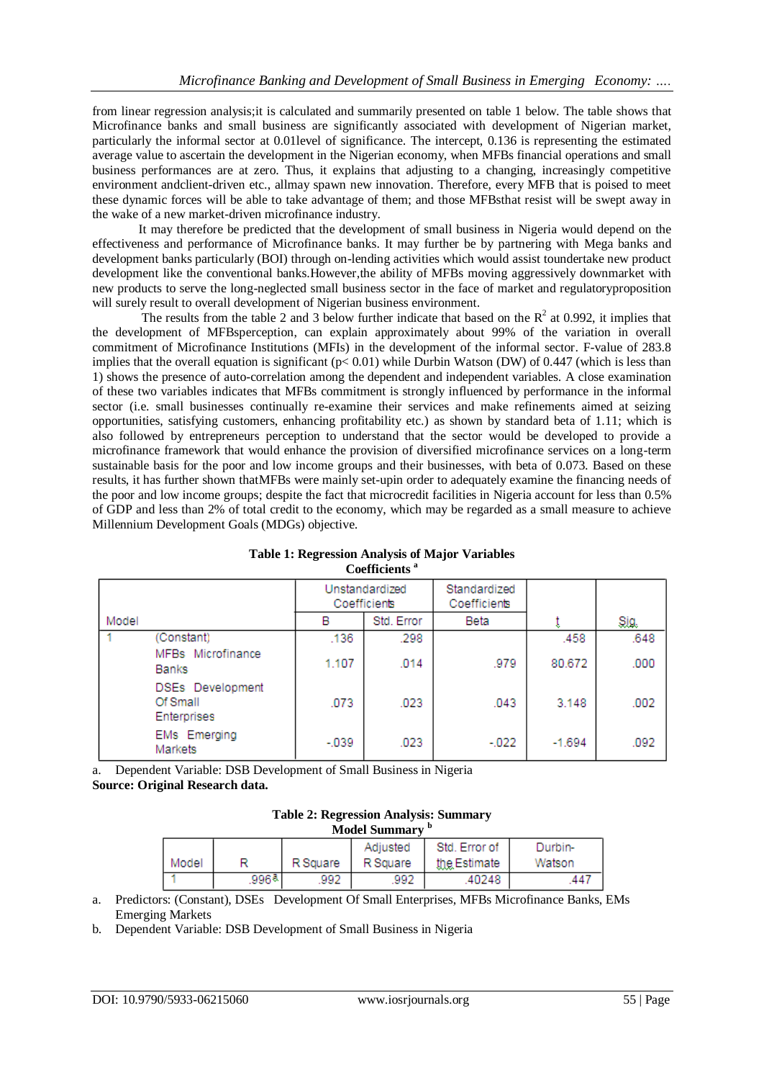from linear regression analysis;it is calculated and summarily presented on table 1 below. The table shows that Microfinance banks and small business are significantly associated with development of Nigerian market, particularly the informal sector at 0.01level of significance. The intercept, 0.136 is representing the estimated average value to ascertain the development in the Nigerian economy, when MFBs financial operations and small business performances are at zero. Thus, it explains that adjusting to a changing, increasingly competitive environment andclient-driven etc., allmay spawn new innovation. Therefore, every MFB that is poised to meet these dynamic forces will be able to take advantage of them; and those MFBsthat resist will be swept away in the wake of a new market-driven microfinance industry.

It may therefore be predicted that the development of small business in Nigeria would depend on the effectiveness and performance of Microfinance banks. It may further be by partnering with Mega banks and development banks particularly (BOI) through on-lending activities which would assist toundertake new product development like the conventional banks.However,the ability of MFBs moving aggressively downmarket with new products to serve the long-neglected small business sector in the face of market and regulatoryproposition will surely result to overall development of Nigerian business environment.

The results from the table 2 and 3 below further indicate that based on the  $R^2$  at 0.992, it implies that the development of MFBsperception, can explain approximately about 99% of the variation in overall commitment of Microfinance Institutions (MFIs) in the development of the informal sector. F-value of 283.8 implies that the overall equation is significant ( $p < 0.01$ ) while Durbin Watson (DW) of 0.447 (which is less than 1) shows the presence of auto-correlation among the dependent and independent variables. A close examination of these two variables indicates that MFBs commitment is strongly influenced by performance in the informal sector (i.e. small businesses continually re-examine their services and make refinements aimed at seizing opportunities, satisfying customers, enhancing profitability etc.) as shown by standard beta of 1.11; which is also followed by entrepreneurs perception to understand that the sector would be developed to provide a microfinance framework that would enhance the provision of diversified microfinance services on a long-term sustainable basis for the poor and low income groups and their businesses, with beta of 0.073. Based on these results, it has further shown thatMFBs were mainly set-upin order to adequately examine the financing needs of the poor and low income groups; despite the fact that microcredit facilities in Nigeria account for less than 0.5% of GDP and less than 2% of total credit to the economy, which may be regarded as a small measure to achieve Millennium Development Goals (MDGs) objective.

|       |                                             |        | Unstandardized<br>Coefficients | Standardized<br>Coefficients |          |      |
|-------|---------------------------------------------|--------|--------------------------------|------------------------------|----------|------|
| Model |                                             | в      | Std. Error                     | Beta                         |          | Sig. |
|       | (Constant)                                  | .136   | .298                           |                              | .458     | .648 |
|       | MFBs Microfinance<br><b>Banks</b>           | 1.107  | .014                           | .979                         | 80.672   | .000 |
|       | DSEs Development<br>Of Small<br>Enterprises | .073   | .023                           | .043                         | 3.148    | .002 |
|       | <b>EMs</b> Emerging<br>Markets              | $-039$ | .023                           | $-022$                       | $-1.694$ | .092 |

#### **Table 1: Regression Analysis of Major Variables Coefficients <sup>a</sup>**

a. Dependent Variable: DSB Development of Small Business in Nigeria **Source: Original Research data.**

| <b>Table 2: Regression Analysis: Summary</b> |  |
|----------------------------------------------|--|
| Model Summary <sup>b</sup>                   |  |

|       |       |          | Adjusted | Std. Error of | Durbin- |  |  |
|-------|-------|----------|----------|---------------|---------|--|--|
| Model |       | R Square | R Square | the Estimate  | Watson  |  |  |
|       | .996ª | 992      | 992      | .40248        | .441    |  |  |

a. Predictors: (Constant), DSEs Development Of Small Enterprises, MFBs Microfinance Banks, EMs Emerging Markets

b. Dependent Variable: DSB Development of Small Business in Nigeria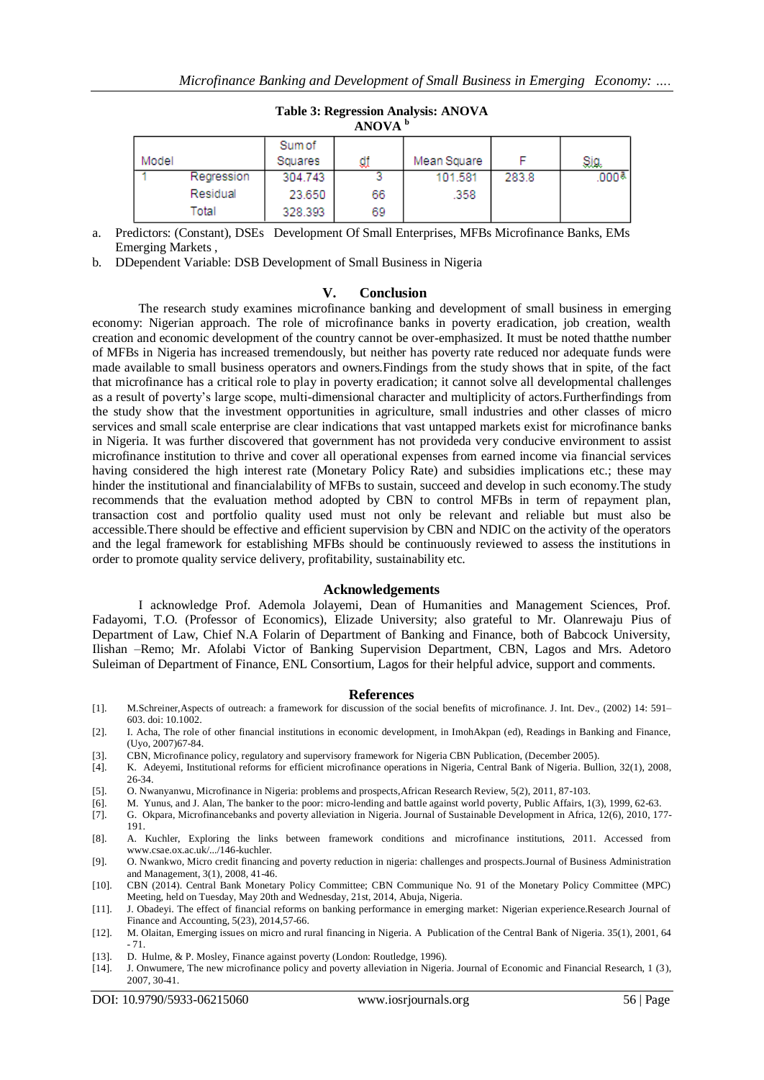|       | ANOVA "    |         |    |             |       |                   |  |  |  |
|-------|------------|---------|----|-------------|-------|-------------------|--|--|--|
|       |            | Sum of  |    |             |       |                   |  |  |  |
| Model |            | Squares | ₫₫ | Mean Square |       | Sig.              |  |  |  |
|       | Regression | 304.743 |    | 101.581     | 283.8 | .000 <sup>8</sup> |  |  |  |
|       | Residual   | 23.650  | 66 | .358        |       |                   |  |  |  |
|       | Total      | 328.393 | 69 |             |       |                   |  |  |  |

# **Table 3: Regression Analysis: ANOVA ANOVA <sup>b</sup>**

a. Predictors: (Constant), DSEs Development Of Small Enterprises, MFBs Microfinance Banks, EMs Emerging Markets ,

b. DDependent Variable: DSB Development of Small Business in Nigeria

#### **V. Conclusion**

The research study examines microfinance banking and development of small business in emerging economy: Nigerian approach. The role of microfinance banks in poverty eradication, job creation, wealth creation and economic development of the country cannot be over-emphasized. It must be noted thatthe number of MFBs in Nigeria has increased tremendously, but neither has poverty rate reduced nor adequate funds were made available to small business operators and owners.Findings from the study shows that in spite, of the fact that microfinance has a critical role to play in poverty eradication; it cannot solve all developmental challenges as a result of poverty's large scope, multi-dimensional character and multiplicity of actors.Furtherfindings from the study show that the investment opportunities in agriculture, small industries and other classes of micro services and small scale enterprise are clear indications that vast untapped markets exist for microfinance banks in Nigeria. It was further discovered that government has not provideda very conducive environment to assist microfinance institution to thrive and cover all operational expenses from earned income via financial services having considered the high interest rate (Monetary Policy Rate) and subsidies implications etc.; these may hinder the institutional and financialability of MFBs to sustain, succeed and develop in such economy.The study recommends that the evaluation method adopted by CBN to control MFBs in term of repayment plan, transaction cost and portfolio quality used must not only be relevant and reliable but must also be accessible.There should be effective and efficient supervision by CBN and NDIC on the activity of the operators and the legal framework for establishing MFBs should be continuously reviewed to assess the institutions in order to promote quality service delivery, profitability, sustainability etc.

#### **Acknowledgements**

I acknowledge Prof. Ademola Jolayemi, Dean of Humanities and Management Sciences, Prof. Fadayomi, T.O. (Professor of Economics), Elizade University; also grateful to Mr. Olanrewaju Pius of Department of Law, Chief N.A Folarin of Department of Banking and Finance, both of Babcock University, Ilishan –Remo; Mr. Afolabi Victor of Banking Supervision Department, CBN, Lagos and Mrs. Adetoro Suleiman of Department of Finance, ENL Consortium, Lagos for their helpful advice, support and comments.

#### **References**

- [1]. M.Schreiner,Aspects of outreach: a framework for discussion of the social benefits of microfinance. J. Int. Dev., (2002) 14: 591– 603. doi: 10.1002.
- [2]. I. Acha, The role of other financial institutions in economic development, in ImohAkpan (ed), Readings in Banking and Finance, (Uyo, 2007)67-84.
- [3]. CBN, Microfinance policy, regulatory and supervisory framework for Nigeria CBN Publication, (December 2005).
- [4]. K. Adeyemi, Institutional reforms for efficient microfinance operations in Nigeria, Central Bank of Nigeria. Bullion, 32(1), 2008, 26-34.
- [5]. O. Nwanyanwu, Microfinance in Nigeria: problems and prospects,African Research Review, 5(2), 2011, 87-103.
- [6]. M. Yunus, and J. Alan, The banker to the poor: micro-lending and battle against world poverty, Public Affairs, 1(3), 1999, 62-63.
- [7]. G. Okpara, Microfinancebanks and poverty alleviation in Nigeria. Journal of Sustainable Development in Africa, 12(6), 2010, 177- 191.
- [8]. A. Kuchler, Exploring the links between framework conditions and microfinance institutions, 2011. Accessed from www.csae.ox.ac.uk/.../146-kuchler.
- [9]. O. Nwankwo, Micro credit financing and poverty reduction in nigeria: challenges and prospects.Journal of Business Administration and Management, 3(1), 2008, 41-46.
- [10]. CBN (2014). Central Bank Monetary Policy Committee; CBN Communique No. 91 of the Monetary Policy Committee (MPC) Meeting, held on Tuesday, May 20th and Wednesday, 21st, 2014, Abuja, Nigeria.
- [11]. J. Obadeyi. The effect of financial reforms on banking performance in emerging market: Nigerian experience.Research Journal of Finance and Accounting, 5(23), 2014,57-66.
- [12]. M. Olaitan, Emerging issues on micro and rural financing in Nigeria. A Publication of the Central Bank of Nigeria. 35(1), 2001, 64 - 71.
- [13]. D. Hulme, & P. Mosley, Finance against poverty (London: Routledge, 1996).
- [14]. J. Onwumere, The new microfinance policy and poverty alleviation in Nigeria. Journal of Economic and Financial Research, 1 (3), 2007, 30-41.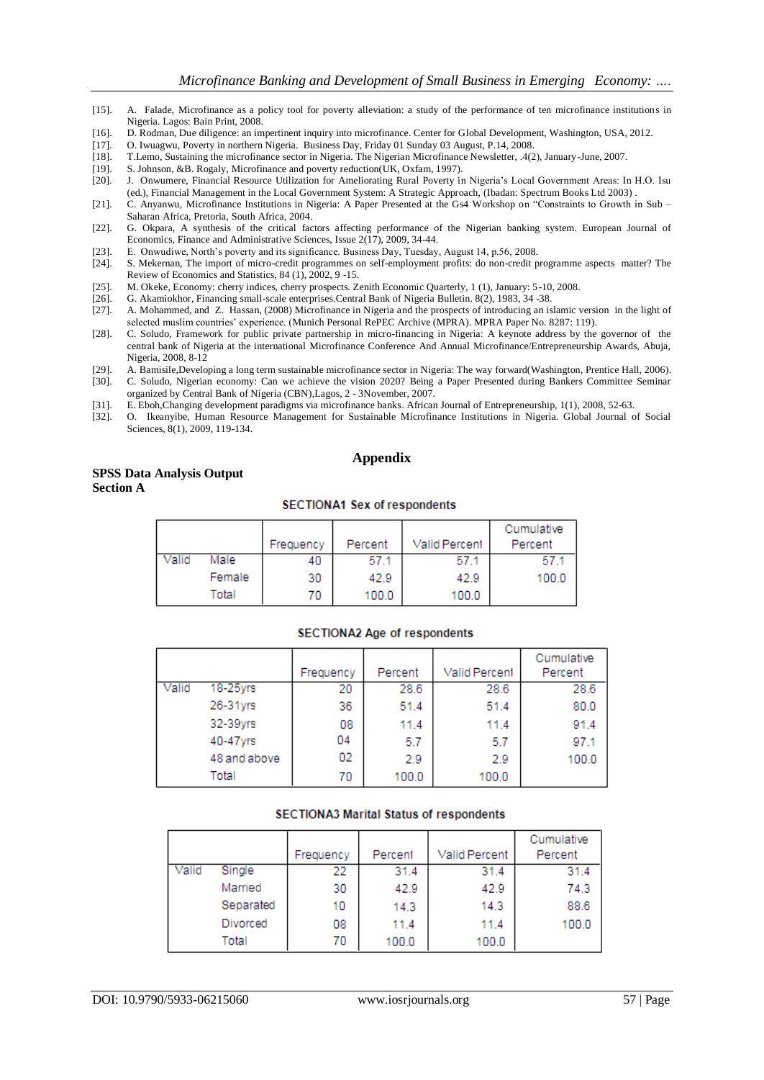- [15]. A. Falade, Microfinance as a policy tool for poverty alleviation: a study of the performance of ten microfinance institutions in Nigeria. Lagos: Bain Print, 2008.
- [16]. D. Rodman, Due diligence: an impertinent inquiry into microfinance. Center for Global Development, Washington, USA, 2012.
- [17]. O. Iwuagwu, Poverty in northern Nigeria. Business Day, Friday 01 Sunday 03 August, P.14, 2008.
- [18]. T.Lemo, Sustaining the microfinance sector in Nigeria. The Nigerian Microfinance Newsletter, .4(2), January-June, 2007.
- [19]. S. Johnson, &B. Rogaly, Microfinance and poverty reduction(UK, Oxfam, 1997).
- [20]. J. Onwumere, Financial Resource Utilization for Ameliorating Rural Poverty in Nigeria's Local Government Areas: In H.O. Isu (ed.), Financial Management in the Local Government System: A Strategic Approach, (Ibadan: Spectrum Books Ltd 2003) .
- [21]. C. Anyanwu, Microfinance Institutions in Nigeria: A Paper Presented at the Gs4 Workshop on "Constraints to Growth in Sub Saharan Africa, Pretoria, South Africa, 2004.
- [22]. G. Okpara, A synthesis of the critical factors affecting performance of the Nigerian banking system. European Journal of Economics, Finance and Administrative Sciences, Issue 2(17), 2009, 34-44.
- [23]. E. Onwudiwe, North's poverty and its significance. Business Day, Tuesday, August 14, p.56, 2008.
- S. Mekernan, The import of micro-credit programmes on self-employment profits: do non-credit programme aspects matter? The Review of Economics and Statistics, 84 (1), 2002, 9 -15.
- [25]. M. Okeke, Economy: cherry indices, cherry prospects. Zenith Economic Quarterly, 1 (1), January: 5-10, 2008.
- [26]. G. Akamiokhor, Financing small-scale enterprises.Central Bank of Nigeria Bulletin. 8(2), 1983, 34 -38.
- [27]. A. Mohammed, and Z. Hassan, (2008) Microfinance in Nigeria and the prospects of introducing an islamic version in the light of selected muslim countries' experience. (Munich Personal RePEC Archive (MPRA). MPRA Paper No. 8287: 119).
- [28]. C. Soludo, Framework for public private partnership in micro-financing in Nigeria: A keynote address by the governor of the central bank of Nigeria at the international Microfinance Conference And Annual Microfinance/Entrepreneurship Awards, Abuja, Nigeria, 2008, 8-12
- [29]. A. Bamisile,Developing a long term sustainable microfinance sector in Nigeria: The way forward(Washington, Prentice Hall, 2006).
- [30]. C. Soludo, Nigerian economy: Can we achieve the vision 2020? Being a Paper Presented during Bankers Committee Seminar organized by Central Bank of Nigeria (CBN),Lagos, 2 - 3November, 2007.
- [31]. E. Eboh,Changing development paradigms via microfinance banks. African Journal of Entrepreneurship, 1(1), 2008, 52-63.<br>[32]. O. Ikeanyibe, Human Resource Management for Sustainable Microfinance Institutions in Nigeri
- [32]. O. Ikeanyibe, Human Resource Management for Sustainable Microfinance Institutions in Nigeria. Global Journal of Social Sciences, 8(1), 2009, 119-134.

### **Appendix**

## **SPSS Data Analysis Output Section A**

#### **SECTIONA1 Sex of respondents**

|       |        |           |         |               | Cumulative |
|-------|--------|-----------|---------|---------------|------------|
|       |        | Frequency | Percent | Valid Percent | Percent    |
| Valid | Male   | 40        | -57.1   | 57.1          | 57.1       |
|       | Female | 30        | 42.9    | 42.9          | 100.0      |
|       | Total  | 70        | 100.0   | 100.0         |            |

#### **SECTIONA2 Age of respondents**

|       |               | Frequency | Percent | Valid Percent | Cumulative<br>Percent |
|-------|---------------|-----------|---------|---------------|-----------------------|
| Valid | $18 - 25$ yrs | 20        | 28.6    | 28.6          | 28.6                  |
|       | 26-31yrs      | 36        | 51.4    | 51.4          | 80.0                  |
|       | 32-39yrs      | 08        | 11.4    | 11.4          | 91.4                  |
|       | 40-47yrs      | 04        | 5.7     | 5.7           | 97.1                  |
|       | 48 and above  | 02        | 2.9     | 2.9           | 100.0                 |
|       | Total         | 70        | 100.0   | 100.0         |                       |

#### **SECTIONA3 Marital Status of respondents**

|       |           |           |         |               | Cumulative |
|-------|-----------|-----------|---------|---------------|------------|
|       |           | Frequency | Percent | Valid Percent | Percent    |
| Valid | Single    | 22        | 31.4    | 31.4          | 31.4       |
|       | Married   | 30        | 42.9    | 42.9          | 74.3       |
|       | Separated | 10        | 14.3    | 14.3          | 88.6       |
|       | Divorced  | 08        | 11.4    | 11.4          | 100.0      |
|       | Total     | 70        | 100.0   | 100.0         |            |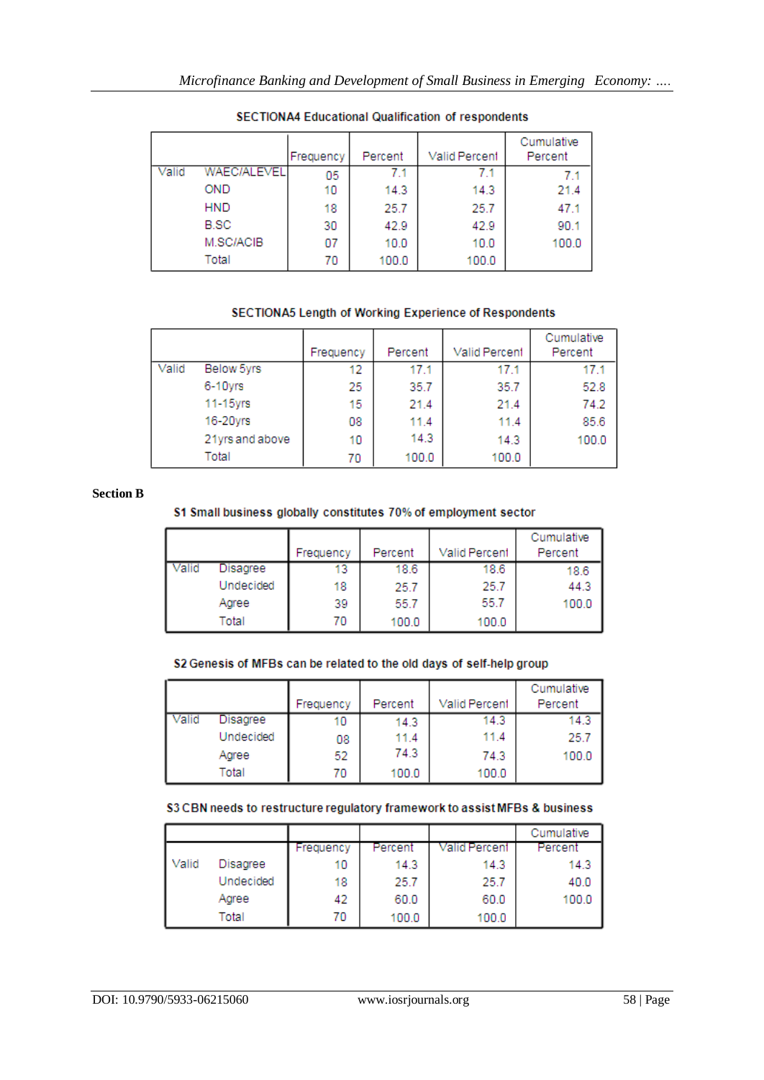|       |                    | Frequency | Percent | Valid Percent | Cumulative<br>Percent |
|-------|--------------------|-----------|---------|---------------|-----------------------|
| Valid | <b>WAEC/ALEVEL</b> | 05        | 7.1     | 7.1           | 7.1                   |
|       | <b>OND</b>         | 10        | 14.3    | 14.3          | 21.4                  |
|       | <b>HND</b>         | 18        | 25.7    | 25.7          | 47.1                  |
|       | <b>B.SC</b>        | 30        | 42.9    | 42.9          | 90.1                  |
|       | M.SC/ACIB          | 07        | 10.0    | 10.0          | 100.0                 |
|       | Total              | 70        | 100.0   | 100.0         |                       |

# SECTIONA4 Educational Qualification of respondents

# SECTIONA5 Length of Working Experience of Respondents

|       |                 | Frequency | Percent | <b>Valid Percent</b> | Cumulative<br>Percent |
|-------|-----------------|-----------|---------|----------------------|-----------------------|
| Valid | Below 5yrs      | 12        | 17.1    | 17.1                 | 17.1                  |
|       | 6-10yrs         | 25        | 35.7    | 35.7                 | 52.8                  |
|       | 11-15yrs        | 15        | 21.4    | 21.4                 | 74.2                  |
|       | 16-20yrs        | 08        | 11.4    | 11.4                 | 85.6                  |
|       | 21yrs and above | 10        | 14.3    | 14.3                 | 100.0                 |
|       | Total           | 70        | 100.0   | 100.0                |                       |

# **Section B**

# S1 Small business globally constitutes 70% of employment sector

|       |           | Frequency | Percent | Valid Percent | Cumulative<br>Percent |
|-------|-----------|-----------|---------|---------------|-----------------------|
| 'alid | Disagree  | 13        | 18.6    | 18.6          | 18.6                  |
|       | Undecided | 18        | 25.7    | 25.7          | 44.3                  |
|       | Agree     | 39        | 55.7    | 55.7          | 100.0                 |
|       | Total     | 70        | 100.0   | 100.0         |                       |

# S2 Genesis of MFBs can be related to the old days of self-help group

|       |           |           |         |               | Cumulative |
|-------|-----------|-----------|---------|---------------|------------|
|       |           | Frequency | Percent | Valid Percent | Percent    |
| Valid | Disagree  | 10        | 14.3    | 14.3          | 14.3       |
|       | Undecided | 08        | 11.4    | 11.4          | 25.7       |
|       | Agree     | 52        | 74.3    | 74.3          | 100.0      |
|       | Total     | 70        | 100.0   | 100.0         |            |

# S3 CBN needs to restructure regulatory framework to assist MFBs & business

|       |           |           |         |               | Cumulative |
|-------|-----------|-----------|---------|---------------|------------|
|       |           | Frequency | Percent | Valid Percent | Percent    |
| Valid | Disagree  | 10        | 14.3    | 14.3          | 14.3       |
|       | Undecided | 18        | 25.7    | 25.7          | 40.0       |
|       | Agree     | 42        | 60.0    | 60.0          | 100.0      |
|       | Total     | 70        | 100.0   | 100.0         |            |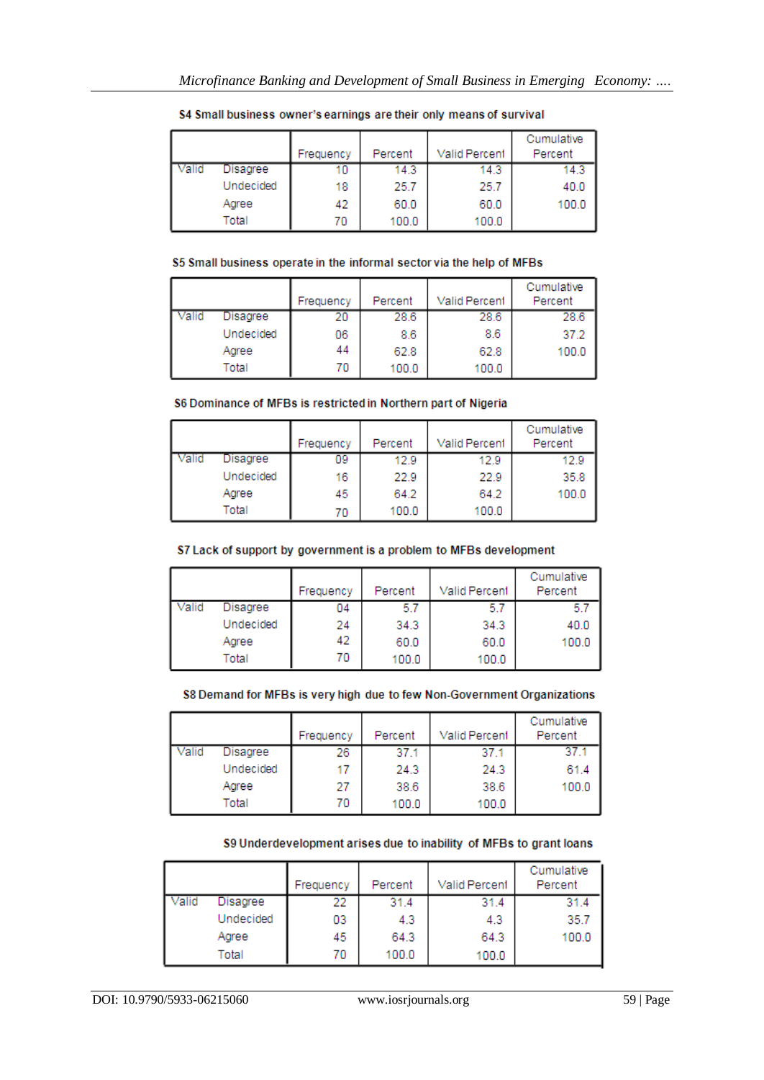|       |           | Frequency | Percent | <b>Valid Percent</b> | Cumulative<br>Percent |
|-------|-----------|-----------|---------|----------------------|-----------------------|
| 'alid | Disagree  | 10        | 14.3    | 14.3                 | 14.3                  |
|       | Undecided | 18        | 25.7    | 25.7                 | 40.0                  |
|       | Agree     | 42        | 60.0    | 60.0                 | 100.0                 |
|       | Total     | 70        | 100.0   | 100.0                |                       |

## S4 Small business owner's earnings are their only means of survival

# S5 Small business operate in the informal sector via the help of MFBs

|      |           | Frequency | Percent | Valid Percent | Cumulative<br>Percent |
|------|-----------|-----------|---------|---------------|-----------------------|
| alıd | Disagree  | 20        | 28.6    | 28.6          | 28.6                  |
|      | Undecided | 06        | 8.6     | 8.6           | 37.2                  |
|      | Aaree     | 44        | 62.8    | 62.8          | 100.0                 |
|      | Total     | 70        | 100.0   | 100.0         |                       |

# S6 Dominance of MFBs is restricted in Northern part of Nigeria

|           | Frequency | Percent | Valid Percent | Cumulative<br>Percent |
|-----------|-----------|---------|---------------|-----------------------|
| Disagree  | 09        | 12.9    | 12.9          | 12.9                  |
| Undecided | 16        | 22.9    | 22.9          | 35.8                  |
| Agree     | 45        | 64.2    | 64.2          | 100.0                 |
| Total     | 70        | 100.0   | 100.0         |                       |

# S7 Lack of support by government is a problem to MFBs development

|       |           | Frequency | Percent | <b>Valid Percent</b> | Cumulative<br>Percent |
|-------|-----------|-----------|---------|----------------------|-----------------------|
| Valid | Disagree  | 04        | 5.7     | 5.7                  | -5.7                  |
|       | Undecided | 24        | 34.3    | 34.3                 | 40.0                  |
|       | Aaree     | 42        | 60.0    | 60.0                 | 100.0                 |
|       | Total     | 70        | 100.0   | 100.0                |                       |

# S8 Demand for MFBs is very high due to few Non-Government Organizations

|       |           | Frequency | Percent | Valid Percent | Cumulative<br>Percent |
|-------|-----------|-----------|---------|---------------|-----------------------|
| Valid | Disagree  | 26        | 37.1    | 37.1          | 37.1                  |
|       | Undecided | 17        | 24.3    | 24.3          | 61.4                  |
|       | Agree     | 27        | 38.6    | 38.6          | 100.0                 |
|       | Total     | 70        | 100.0   | 100.0         |                       |

# S9 Underdevelopment arises due to inability of MFBs to grant loans

|         |           | Frequency | Percent | Valid Percent | Cumulative<br>Percent |
|---------|-----------|-----------|---------|---------------|-----------------------|
| l Valid | Disagree  | 22        | 31.4    | 31.4          | 31.4                  |
|         | Undecided | 03        | 4.3     | 4.3           | 35.7                  |
|         | Agree     | 45        | 64.3    | 64.3          | 100.0                 |
|         | Total     | 70        | 100.0   | 100.0         |                       |